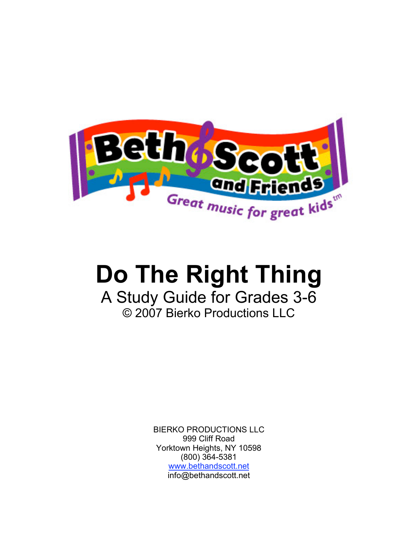

# **Do The Right Thing**

## A Study Guide for Grades 3-6 © 2007 Bierko Productions LLC

BIERKO PRODUCTIONS LLC 999 Cliff Road Yorktown Heights, NY 10598 (800) 364-5381 www.bethandscott.net info@bethandscott.net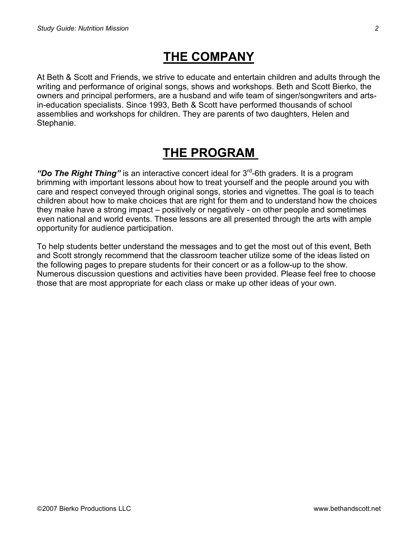### **THE COMPANY**

At Beth & Scott and Friends, we strive to educate and entertain children and adults through the writing and performance of original songs, shows and workshops. Beth and Scott Bierko, the owners and principal performers, are a husband and wife team of singer/songwriters and artsin-education specialists. Since 1993, Beth & Scott have performed thousands of school assemblies and workshops for children. They are parents of two daughters, Helen and Stephanie.

## **THE PROGRAM**

*"Do The Right Thing"* is an interactive concert ideal for 3rd-6th graders. It is a program brimming with important lessons about how to treat yourself and the people around you with care and respect conveyed through original songs, stories and vignettes. The goal is to teach children about how to make choices that are right for them and to understand how the choices they make have a strong impact – positively or negatively - on other people and sometimes even national and world events. These lessons are all presented through the arts with ample opportunity for audience participation.

To help students better understand the messages and to get the most out of this event, Beth and Scott strongly recommend that the classroom teacher utilize some of the ideas listed on the following pages to prepare students for their concert or as a follow-up to the show. Numerous discussion questions and activities have been provided. Please feel free to choose those that are most appropriate for each class or make up other ideas of your own.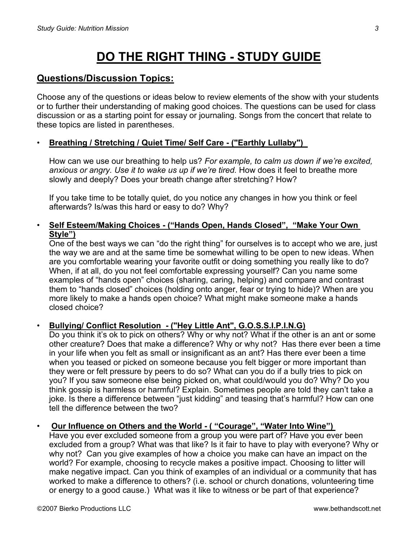# **DO THE RIGHT THING - STUDY GUIDE**

#### **Questions/Discussion Topics:**

Choose any of the questions or ideas below to review elements of the show with your students or to further their understanding of making good choices. The questions can be used for class discussion or as a starting point for essay or journaling. Songs from the concert that relate to these topics are listed in parentheses.

#### • **Breathing / Stretching / Quiet Time/ Self Care - ("Earthly Lullaby")**

How can we use our breathing to help us? *For example, to calm us down if we're excited, anxious or angry. Use it to wake us up if we're tired.* How does it feel to breathe more slowly and deeply? Does your breath change after stretching? How?

If you take time to be totally quiet, do you notice any changes in how you think or feel afterwards? Is/was this hard or easy to do? Why?

#### • **Self Esteem/Making Choices - ("Hands Open, Hands Closed", "Make Your Own Style")**

One of the best ways we can "do the right thing" for ourselves is to accept who we are, just the way we are and at the same time be somewhat willing to be open to new ideas. When are you comfortable wearing your favorite outfit or doing something you really like to do? When, if at all, do you not feel comfortable expressing yourself? Can you name some examples of "hands open" choices (sharing, caring, helping) and compare and contrast them to "hands closed" choices (holding onto anger, fear or trying to hide)? When are you more likely to make a hands open choice? What might make someone make a hands closed choice?

#### • **Bullying/ Conflict Resolution - ("Hey Little Ant", G.O.S.S.I.P.I.N.G)**

Do you think it's ok to pick on others? Why or why not? What if the other is an ant or some other creature? Does that make a difference? Why or why not? Has there ever been a time in your life when you felt as small or insignificant as an ant? Has there ever been a time when you teased or picked on someone because you felt bigger or more important than they were or felt pressure by peers to do so? What can you do if a bully tries to pick on you? If you saw someone else being picked on, what could/would you do? Why? Do you think gossip is harmless or harmful? Explain. Sometimes people are told they can't take a joke. Is there a difference between "just kidding" and teasing that's harmful? How can one tell the difference between the two?

#### • **Our Influence on Others and the World - ( "Courage", "Water Into Wine")**

Have you ever excluded someone from a group you were part of? Have you ever been excluded from a group? What was that like? Is it fair to have to play with everyone? Why or why not? Can you give examples of how a choice you make can have an impact on the world? For example, choosing to recycle makes a positive impact. Choosing to litter will make negative impact. Can you think of examples of an individual or a community that has worked to make a difference to others? (i.e. school or church donations, volunteering time or energy to a good cause.) What was it like to witness or be part of that experience?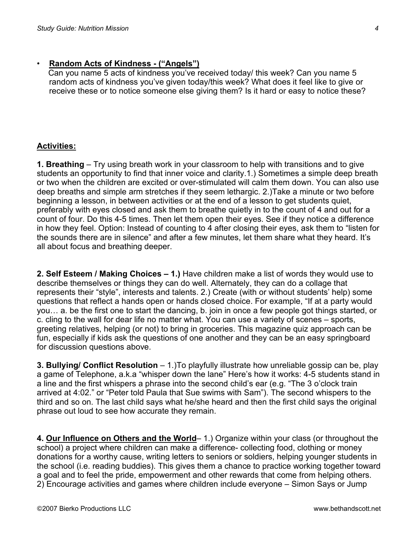#### • **Random Acts of Kindness - ("Angels")**

Can you name 5 acts of kindness you've received today/ this week? Can you name 5 random acts of kindness you've given today/this week? What does it feel like to give or receive these or to notice someone else giving them? Is it hard or easy to notice these?

#### **Activities:**

**1. Breathing** – Try using breath work in your classroom to help with transitions and to give students an opportunity to find that inner voice and clarity.1.) Sometimes a simple deep breath or two when the children are excited or over-stimulated will calm them down. You can also use deep breaths and simple arm stretches if they seem lethargic. 2.)Take a minute or two before beginning a lesson, in between activities or at the end of a lesson to get students quiet, preferably with eyes closed and ask them to breathe quietly in to the count of 4 and out for a count of four. Do this 4-5 times. Then let them open their eyes. See if they notice a difference in how they feel. Option: Instead of counting to 4 after closing their eyes, ask them to "listen for the sounds there are in silence" and after a few minutes, let them share what they heard. It's all about focus and breathing deeper.

**2. Self Esteem / Making Choices – 1.)** Have children make a list of words they would use to describe themselves or things they can do well. Alternately, they can do a collage that represents their "style", interests and talents. 2.) Create (with or without students' help) some questions that reflect a hands open or hands closed choice. For example, "If at a party would you… a. be the first one to start the dancing, b. join in once a few people got things started, or c. cling to the wall for dear life no matter what. You can use a variety of scenes – sports, greeting relatives, helping (or not) to bring in groceries. This magazine quiz approach can be fun, especially if kids ask the questions of one another and they can be an easy springboard for discussion questions above.

**3. Bullying/ Conflict Resolution** – 1.)To playfully illustrate how unreliable gossip can be, play a game of Telephone, a.k.a "whisper down the lane" Here's how it works: 4-5 students stand in a line and the first whispers a phrase into the second child's ear (e.g. "The 3 o'clock train arrived at 4:02." or "Peter told Paula that Sue swims with Sam"). The second whispers to the third and so on. The last child says what he/she heard and then the first child says the original phrase out loud to see how accurate they remain.

**4. Our Influence on Others and the World**– 1.) Organize within your class (or throughout the school) a project where children can make a difference- collecting food, clothing or money donations for a worthy cause, writing letters to seniors or soldiers, helping younger students in the school (i.e. reading buddies). This gives them a chance to practice working together toward a goal and to feel the pride, empowerment and other rewards that come from helping others. 2) Encourage activities and games where children include everyone – Simon Says or Jump